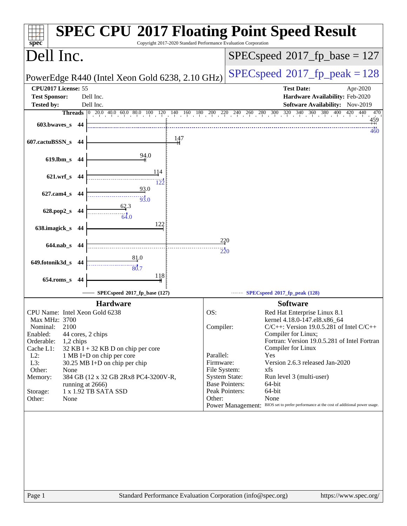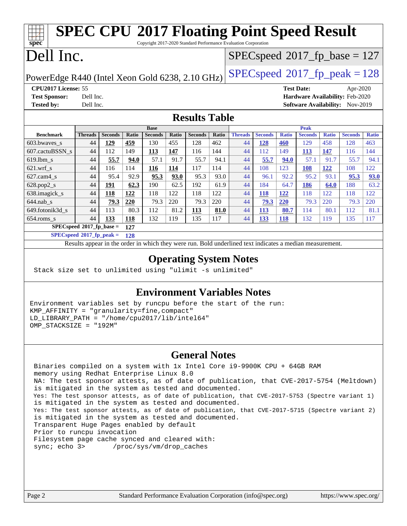| <b>SPEC CPU®2017 Floating Point Speed Result</b><br>Copyright 2017-2020 Standard Performance Evaluation Corporation<br>spec <sup>®</sup> |                                              |                |       |                |       |                                         |                                         |                |                |              |                |              |                |              |
|------------------------------------------------------------------------------------------------------------------------------------------|----------------------------------------------|----------------|-------|----------------|-------|-----------------------------------------|-----------------------------------------|----------------|----------------|--------------|----------------|--------------|----------------|--------------|
| Dell Inc.                                                                                                                                |                                              |                |       |                |       | $SPEC speed^{\circ}2017$ _fp_base = 127 |                                         |                |                |              |                |              |                |              |
| PowerEdge R440 (Intel Xeon Gold 6238, 2.10 GHz)                                                                                          |                                              |                |       |                |       |                                         | $SPEC speed^{\circ}2017$ _fp_peak = 128 |                |                |              |                |              |                |              |
| CPU2017 License: 55<br><b>Test Date:</b><br>Apr-2020                                                                                     |                                              |                |       |                |       |                                         |                                         |                |                |              |                |              |                |              |
| Hardware Availability: Feb-2020<br><b>Test Sponsor:</b><br>Dell Inc.                                                                     |                                              |                |       |                |       |                                         |                                         |                |                |              |                |              |                |              |
| <b>Tested by:</b>                                                                                                                        | Software Availability: Nov-2019<br>Dell Inc. |                |       |                |       |                                         |                                         |                |                |              |                |              |                |              |
| <b>Results Table</b>                                                                                                                     |                                              |                |       |                |       |                                         |                                         |                |                |              |                |              |                |              |
|                                                                                                                                          |                                              |                |       | <b>Base</b>    |       |                                         |                                         | <b>Peak</b>    |                |              |                |              |                |              |
| <b>Benchmark</b>                                                                                                                         | <b>Threads</b>                               | <b>Seconds</b> | Ratio | <b>Seconds</b> | Ratio | <b>Seconds</b>                          | Ratio                                   | <b>Threads</b> | <b>Seconds</b> | <b>Ratio</b> | <b>Seconds</b> | <b>Ratio</b> | <b>Seconds</b> | <b>Ratio</b> |
| 603.bwaves_s                                                                                                                             | 44                                           | 129            | 459   | 130            | 455   | 128                                     | 462                                     | 44             | 128            | 460          | 129            | 458          | 128            | 463          |
| 607.cactuBSSN_s                                                                                                                          | 44                                           | 112            | 149   | 113            | 147   | 116                                     | 144                                     | 44             | 112            | 149          | 113            | 147          | 116            | 144          |
| 619.lbm s                                                                                                                                | 44                                           | 55.7           | 94.0  | 57.1           | 91.7  | 55.7                                    | 94.1                                    | 44             | 55.7           | 94.0         | 57.1           | 91.7         | 55.7           | 94.1         |
| $621.wrf$ <sub>s</sub>                                                                                                                   | 44                                           | 116            | 114   | 116            | 114   | 117                                     | 114                                     | 44             | 108            | 123          | <b>108</b>     | 122          | 108            | 122          |
| $627$ .cam $4$ s                                                                                                                         | 44                                           | 95.4           | 92.9  | 95.3           | 93.0  | 95.3                                    | 93.0                                    | 44             | 96.1           | 92.2         | 95.2           | 93.1         | 95.3           | 93.0         |
| 628.pop2_s                                                                                                                               | 44                                           | 191            | 62.3  | 190            | 62.5  | 192                                     | 61.9                                    | 44             | 184            | 64.7         | 186            | 64.0         | 188            | 63.2         |
| 638.imagick_s                                                                                                                            | 44                                           | 118            | 122   | 118            | 122   | 118                                     | 122                                     | 44             | 118            | <b>122</b>   | 118            | 122          | 118            | 122          |
| $644$ .nab s                                                                                                                             | 44                                           | 79.3           | 220   | 79.3           | 220   | 79.3                                    | 220                                     | 44             | 79.3           | 220          | 79.3           | 220          | 79.3           | 220          |
| 649.fotonik3d_s                                                                                                                          | 44                                           | 113            | 80.3  | 112            | 81.2  | 113                                     | 81.0                                    | 44             | <b>113</b>     | 80.7         | 114            | 80.1         | 112            | 81.1         |
| 654.roms_s                                                                                                                               | 44                                           | 133            | 118   | 132            | 119   | 135                                     | 117                                     | 44             | 133            | 118          | 132            | 119          | 135            | 117          |
|                                                                                                                                          | $SPECspeed*2017_fp\_base =$                  |                | 127   |                |       |                                         |                                         |                |                |              |                |              |                |              |
| $SPECspeed*2017_fn\_peak =$<br>128                                                                                                       |                                              |                |       |                |       |                                         |                                         |                |                |              |                |              |                |              |
| Results appear in the order in which they were run. Bold underlined text indicates a median measurement.                                 |                                              |                |       |                |       |                                         |                                         |                |                |              |                |              |                |              |
| <b>Operating System Notes</b>                                                                                                            |                                              |                |       |                |       |                                         |                                         |                |                |              |                |              |                |              |

Stack size set to unlimited using "ulimit -s unlimited"

## **[Environment Variables Notes](http://www.spec.org/auto/cpu2017/Docs/result-fields.html#EnvironmentVariablesNotes)**

Environment variables set by runcpu before the start of the run: KMP\_AFFINITY = "granularity=fine,compact" LD\_LIBRARY\_PATH = "/home/cpu2017/lib/intel64" OMP STACKSIZE = "192M"

## **[General Notes](http://www.spec.org/auto/cpu2017/Docs/result-fields.html#GeneralNotes)**

 Binaries compiled on a system with 1x Intel Core i9-9900K CPU + 64GB RAM memory using Redhat Enterprise Linux 8.0 NA: The test sponsor attests, as of date of publication, that CVE-2017-5754 (Meltdown) is mitigated in the system as tested and documented. Yes: The test sponsor attests, as of date of publication, that CVE-2017-5753 (Spectre variant 1) is mitigated in the system as tested and documented. Yes: The test sponsor attests, as of date of publication, that CVE-2017-5715 (Spectre variant 2) is mitigated in the system as tested and documented. Transparent Huge Pages enabled by default Prior to runcpu invocation Filesystem page cache synced and cleared with: sync; echo 3> /proc/sys/vm/drop\_caches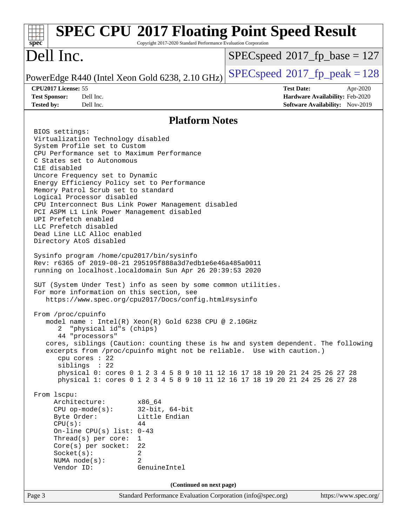#### Page 3 Standard Performance Evaluation Corporation [\(info@spec.org\)](mailto:info@spec.org) <https://www.spec.org/> **[spec](http://www.spec.org/) [SPEC CPU](http://www.spec.org/auto/cpu2017/Docs/result-fields.html#SPECCPU2017FloatingPointSpeedResult)[2017 Floating Point Speed Result](http://www.spec.org/auto/cpu2017/Docs/result-fields.html#SPECCPU2017FloatingPointSpeedResult)** Copyright 2017-2020 Standard Performance Evaluation Corporation Dell Inc. PowerEdge R440 (Intel Xeon Gold 6238, 2.10 GHz)  $\left|$  [SPECspeed](http://www.spec.org/auto/cpu2017/Docs/result-fields.html#SPECspeed2017fppeak)<sup>®</sup>[2017\\_fp\\_peak = 1](http://www.spec.org/auto/cpu2017/Docs/result-fields.html#SPECspeed2017fppeak)28 [SPECspeed](http://www.spec.org/auto/cpu2017/Docs/result-fields.html#SPECspeed2017fpbase)<sup>®</sup>2017 fp base = 127 **[CPU2017 License:](http://www.spec.org/auto/cpu2017/Docs/result-fields.html#CPU2017License)** 55 **[Test Date:](http://www.spec.org/auto/cpu2017/Docs/result-fields.html#TestDate)** Apr-2020 **[Test Sponsor:](http://www.spec.org/auto/cpu2017/Docs/result-fields.html#TestSponsor)** Dell Inc. **[Hardware Availability:](http://www.spec.org/auto/cpu2017/Docs/result-fields.html#HardwareAvailability)** Feb-2020 **[Tested by:](http://www.spec.org/auto/cpu2017/Docs/result-fields.html#Testedby)** Dell Inc. **[Software Availability:](http://www.spec.org/auto/cpu2017/Docs/result-fields.html#SoftwareAvailability)** Nov-2019 **[Platform Notes](http://www.spec.org/auto/cpu2017/Docs/result-fields.html#PlatformNotes)** BIOS settings: Virtualization Technology disabled System Profile set to Custom CPU Performance set to Maximum Performance C States set to Autonomous C1E disabled Uncore Frequency set to Dynamic Energy Efficiency Policy set to Performance Memory Patrol Scrub set to standard Logical Processor disabled CPU Interconnect Bus Link Power Management disabled PCI ASPM L1 Link Power Management disabled UPI Prefetch enabled LLC Prefetch disabled Dead Line LLC Alloc enabled Directory AtoS disabled Sysinfo program /home/cpu2017/bin/sysinfo Rev: r6365 of 2019-08-21 295195f888a3d7edb1e6e46a485a0011 running on localhost.localdomain Sun Apr 26 20:39:53 2020 SUT (System Under Test) info as seen by some common utilities. For more information on this section, see <https://www.spec.org/cpu2017/Docs/config.html#sysinfo> From /proc/cpuinfo model name : Intel(R) Xeon(R) Gold 6238 CPU @ 2.10GHz 2 "physical id"s (chips) 44 "processors" cores, siblings (Caution: counting these is hw and system dependent. The following excerpts from /proc/cpuinfo might not be reliable. Use with caution.) cpu cores : 22 siblings : 22 physical 0: cores 0 1 2 3 4 5 8 9 10 11 12 16 17 18 19 20 21 24 25 26 27 28 physical 1: cores 0 1 2 3 4 5 8 9 10 11 12 16 17 18 19 20 21 24 25 26 27 28 From lscpu: Architecture: x86\_64 CPU op-mode(s): 32-bit, 64-bit Byte Order: Little Endian  $CPU(s):$  44 On-line CPU(s) list: 0-43 Thread(s) per core: 1 Core(s) per socket: 22 Socket(s): 2 NUMA node(s): 2 Vendor ID: GenuineIntel **(Continued on next page)**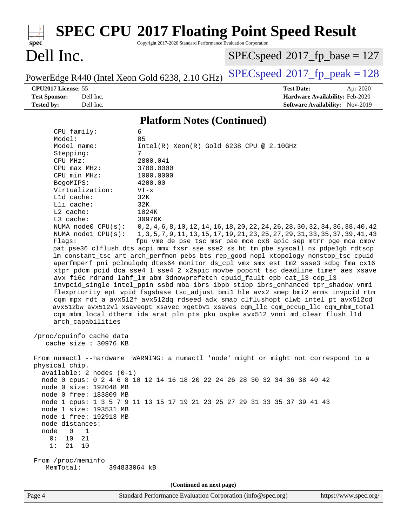#### **[spec](http://www.spec.org/) [SPEC CPU](http://www.spec.org/auto/cpu2017/Docs/result-fields.html#SPECCPU2017FloatingPointSpeedResult)[2017 Floating Point Speed Result](http://www.spec.org/auto/cpu2017/Docs/result-fields.html#SPECCPU2017FloatingPointSpeedResult)** Copyright 2017-2020 Standard Performance Evaluation Corporation Dell Inc. PowerEdge R440 (Intel Xeon Gold 6238, 2.10 GHz)  $\left|$  [SPECspeed](http://www.spec.org/auto/cpu2017/Docs/result-fields.html#SPECspeed2017fppeak)<sup>®</sup>[2017\\_fp\\_peak = 1](http://www.spec.org/auto/cpu2017/Docs/result-fields.html#SPECspeed2017fppeak)28 [SPECspeed](http://www.spec.org/auto/cpu2017/Docs/result-fields.html#SPECspeed2017fpbase)<sup>®</sup>2017 fp base = 127 **[CPU2017 License:](http://www.spec.org/auto/cpu2017/Docs/result-fields.html#CPU2017License)** 55 **[Test Date:](http://www.spec.org/auto/cpu2017/Docs/result-fields.html#TestDate)** Apr-2020 **[Test Sponsor:](http://www.spec.org/auto/cpu2017/Docs/result-fields.html#TestSponsor)** Dell Inc. **[Hardware Availability:](http://www.spec.org/auto/cpu2017/Docs/result-fields.html#HardwareAvailability)** Feb-2020 **[Tested by:](http://www.spec.org/auto/cpu2017/Docs/result-fields.html#Testedby)** Dell Inc. **[Software Availability:](http://www.spec.org/auto/cpu2017/Docs/result-fields.html#SoftwareAvailability)** Nov-2019 **[Platform Notes \(Continued\)](http://www.spec.org/auto/cpu2017/Docs/result-fields.html#PlatformNotes)** CPU family: 6 Model: 85 Model name: Intel(R) Xeon(R) Gold 6238 CPU @ 2.10GHz Stepping: 7 CPU MHz: 2800.041 CPU max MHz: 3700.0000 CPU min MHz: 1000.0000 BogoMIPS: 4200.00 Virtualization: VT-x L1d cache: 32K L1i cache: 32K L2 cache: 1024K L3 cache: 30976K NUMA node0 CPU(s): 0,2,4,6,8,10,12,14,16,18,20,22,24,26,28,30,32,34,36,38,40,42 NUMA node1 CPU(s): 1,3,5,7,9,11,13,15,17,19,21,23,25,27,29,31,33,35,37,39,41,43 Flags: fpu vme de pse tsc msr pae mce cx8 apic sep mtrr pge mca cmov pat pse36 clflush dts acpi mmx fxsr sse sse2 ss ht tm pbe syscall nx pdpe1gb rdtscp lm constant\_tsc art arch\_perfmon pebs bts rep\_good nopl xtopology nonstop\_tsc cpuid aperfmperf pni pclmulqdq dtes64 monitor ds\_cpl vmx smx est tm2 ssse3 sdbg fma cx16 xtpr pdcm pcid dca sse4\_1 sse4\_2 x2apic movbe popcnt tsc\_deadline\_timer aes xsave avx f16c rdrand lahf\_lm abm 3dnowprefetch cpuid\_fault epb cat\_l3 cdp\_l3 invpcid\_single intel\_ppin ssbd mba ibrs ibpb stibp ibrs\_enhanced tpr\_shadow vnmi flexpriority ept vpid fsgsbase tsc\_adjust bmi1 hle avx2 smep bmi2 erms invpcid rtm cqm mpx rdt\_a avx512f avx512dq rdseed adx smap clflushopt clwb intel\_pt avx512cd avx512bw avx512vl xsaveopt xsavec xgetbv1 xsaves cqm\_llc cqm\_occup\_llc cqm\_mbm\_total cqm\_mbm\_local dtherm ida arat pln pts pku ospke avx512\_vnni md\_clear flush\_l1d arch\_capabilities /proc/cpuinfo cache data cache size : 30976 KB From numactl --hardware WARNING: a numactl 'node' might or might not correspond to a physical chip. available: 2 nodes (0-1) node 0 cpus: 0 2 4 6 8 10 12 14 16 18 20 22 24 26 28 30 32 34 36 38 40 42 node 0 size: 192048 MB node 0 free: 183809 MB node 1 cpus: 1 3 5 7 9 11 13 15 17 19 21 23 25 27 29 31 33 35 37 39 41 43 node 1 size: 193531 MB node 1 free: 192913 MB node distances: node 0 1 0: 10 21 1: 21 10 From /proc/meminfo MemTotal: 394833064 kB **(Continued on next page)**

Page 4 Standard Performance Evaluation Corporation [\(info@spec.org\)](mailto:info@spec.org) <https://www.spec.org/>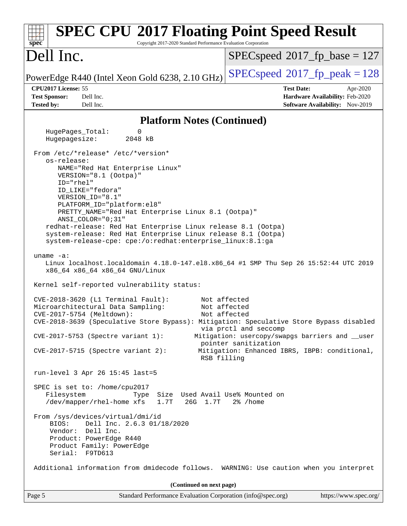| <b>SPEC CPU®2017 Floating Point Speed Result</b><br>Copyright 2017-2020 Standard Performance Evaluation Corporation<br>spec <sup>®</sup>                                                                                                                                                                                                                                                                                                                                                                                                                                                                                                                                   |                                                                                                                                                   |
|----------------------------------------------------------------------------------------------------------------------------------------------------------------------------------------------------------------------------------------------------------------------------------------------------------------------------------------------------------------------------------------------------------------------------------------------------------------------------------------------------------------------------------------------------------------------------------------------------------------------------------------------------------------------------|---------------------------------------------------------------------------------------------------------------------------------------------------|
| Dell Inc.                                                                                                                                                                                                                                                                                                                                                                                                                                                                                                                                                                                                                                                                  | $SPEC speed^{\circ}2017$ fp base = 127                                                                                                            |
| PowerEdge R440 (Intel Xeon Gold 6238, 2.10 GHz)                                                                                                                                                                                                                                                                                                                                                                                                                                                                                                                                                                                                                            | $SPEC speed^{\circ}2017$ fp peak = 128                                                                                                            |
| CPU2017 License: 55<br><b>Test Sponsor:</b><br>Dell Inc.                                                                                                                                                                                                                                                                                                                                                                                                                                                                                                                                                                                                                   | <b>Test Date:</b><br>Apr-2020<br>Hardware Availability: Feb-2020                                                                                  |
| <b>Tested by:</b><br>Dell Inc.                                                                                                                                                                                                                                                                                                                                                                                                                                                                                                                                                                                                                                             | Software Availability: Nov-2019                                                                                                                   |
| <b>Platform Notes (Continued)</b>                                                                                                                                                                                                                                                                                                                                                                                                                                                                                                                                                                                                                                          |                                                                                                                                                   |
| HugePages_Total:<br>0<br>Hugepagesize:<br>2048 kB                                                                                                                                                                                                                                                                                                                                                                                                                                                                                                                                                                                                                          |                                                                                                                                                   |
| From /etc/*release* /etc/*version*<br>os-release:<br>NAME="Red Hat Enterprise Linux"<br>VERSION="8.1 (Ootpa)"<br>$ID="rhe1"$<br>ID_LIKE="fedora"<br>VERSION_ID="8.1"<br>PLATFORM_ID="platform:el8"<br>PRETTY_NAME="Red Hat Enterprise Linux 8.1 (Ootpa)"<br>$ANSI$ _COLOR=" $0:31$ "<br>redhat-release: Red Hat Enterprise Linux release 8.1 (Ootpa)<br>system-release: Red Hat Enterprise Linux release 8.1 (Ootpa)<br>system-release-cpe: cpe:/o:redhat:enterprise_linux:8.1:ga<br>uname $-a$ :<br>Linux localhost.localdomain 4.18.0-147.el8.x86_64 #1 SMP Thu Sep 26 15:52:44 UTC 2019<br>x86_64 x86_64 x86_64 GNU/Linux<br>Kernel self-reported vulnerability status: |                                                                                                                                                   |
| $CVE-2018-3620$ (L1 Terminal Fault):<br>Not affected<br>Microarchitectural Data Sampling:<br>Not affected<br>Not affected<br>CVE-2017-5754 (Meltdown):<br>CVE-2018-3639 (Speculative Store Bypass): Mitigation: Speculative Store Bypass disabled<br>$CVE-2017-5753$ (Spectre variant 1):<br>$CVE-2017-5715$ (Spectre variant 2):<br>RSB filling                                                                                                                                                                                                                                                                                                                           | via prctl and seccomp<br>Mitigation: usercopy/swapgs barriers and __user<br>pointer sanitization<br>Mitigation: Enhanced IBRS, IBPB: conditional, |
| run-level 3 Apr 26 15:45 last=5<br>SPEC is set to: /home/cpu2017<br>Filesystem<br>Size Used Avail Use% Mounted on<br>Type<br>/dev/mapper/rhel-home xfs<br>1.7T<br>26G 1.7T<br>From /sys/devices/virtual/dmi/id<br>Dell Inc. 2.6.3 01/18/2020<br>BIOS:                                                                                                                                                                                                                                                                                                                                                                                                                      | $2\%$ /home                                                                                                                                       |
| Vendor: Dell Inc.<br>Product: PowerEdge R440<br>Product Family: PowerEdge<br>Serial: F9TD613<br>Additional information from dmidecode follows. WARNING: Use caution when you interpret                                                                                                                                                                                                                                                                                                                                                                                                                                                                                     |                                                                                                                                                   |
| (Continued on next page)                                                                                                                                                                                                                                                                                                                                                                                                                                                                                                                                                                                                                                                   |                                                                                                                                                   |
| Page 5<br>Standard Performance Evaluation Corporation (info@spec.org)                                                                                                                                                                                                                                                                                                                                                                                                                                                                                                                                                                                                      | https://www.spec.org/                                                                                                                             |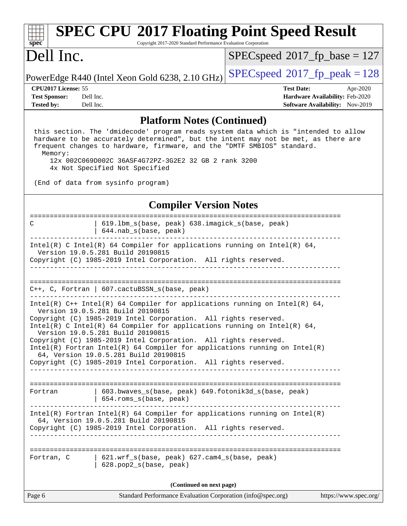# **[SPEC CPU](http://www.spec.org/auto/cpu2017/Docs/result-fields.html#SPECCPU2017FloatingPointSpeedResult)[2017 Floating Point Speed Result](http://www.spec.org/auto/cpu2017/Docs/result-fields.html#SPECCPU2017FloatingPointSpeedResult)**

Copyright 2017-2020 Standard Performance Evaluation Corporation

# Dell Inc.

**[spec](http://www.spec.org/)**

 $SPEC speed$ <sup>®</sup>[2017\\_fp\\_base = 1](http://www.spec.org/auto/cpu2017/Docs/result-fields.html#SPECspeed2017fpbase)27

PowerEdge R440 (Intel Xeon Gold 6238, 2.10 GHz)  $\left|$  [SPECspeed](http://www.spec.org/auto/cpu2017/Docs/result-fields.html#SPECspeed2017fppeak)<sup>®</sup>[2017\\_fp\\_peak = 1](http://www.spec.org/auto/cpu2017/Docs/result-fields.html#SPECspeed2017fppeak)28

**[Tested by:](http://www.spec.org/auto/cpu2017/Docs/result-fields.html#Testedby)** Dell Inc. **[Software Availability:](http://www.spec.org/auto/cpu2017/Docs/result-fields.html#SoftwareAvailability)** Nov-2019

**[CPU2017 License:](http://www.spec.org/auto/cpu2017/Docs/result-fields.html#CPU2017License)** 55 **[Test Date:](http://www.spec.org/auto/cpu2017/Docs/result-fields.html#TestDate)** Apr-2020 **[Test Sponsor:](http://www.spec.org/auto/cpu2017/Docs/result-fields.html#TestSponsor)** Dell Inc. **[Hardware Availability:](http://www.spec.org/auto/cpu2017/Docs/result-fields.html#HardwareAvailability)** Feb-2020

#### **[Platform Notes \(Continued\)](http://www.spec.org/auto/cpu2017/Docs/result-fields.html#PlatformNotes)**

 this section. The 'dmidecode' program reads system data which is "intended to allow hardware to be accurately determined", but the intent may not be met, as there are frequent changes to hardware, firmware, and the "DMTF SMBIOS" standard. Memory:

 12x 002C069D002C 36ASF4G72PZ-3G2E2 32 GB 2 rank 3200 4x Not Specified Not Specified

(End of data from sysinfo program)

### **[Compiler Version Notes](http://www.spec.org/auto/cpu2017/Docs/result-fields.html#CompilerVersionNotes)**

| C          | 619.1bm_s(base, peak) 638.imagick_s(base, peak)<br>$644.nab_s(base, peak)$                                                                                                                                                                                                                                                                                                                                                                                                                                                                                           |
|------------|----------------------------------------------------------------------------------------------------------------------------------------------------------------------------------------------------------------------------------------------------------------------------------------------------------------------------------------------------------------------------------------------------------------------------------------------------------------------------------------------------------------------------------------------------------------------|
|            | Intel(R) C Intel(R) 64 Compiler for applications running on Intel(R) 64,<br>Version 19.0.5.281 Build 20190815<br>Copyright (C) 1985-2019 Intel Corporation. All rights reserved.                                                                                                                                                                                                                                                                                                                                                                                     |
|            | ____________________________________                                                                                                                                                                                                                                                                                                                                                                                                                                                                                                                                 |
|            | $C++$ , C, Fortran   607.cactuBSSN_s(base, peak)                                                                                                                                                                                                                                                                                                                                                                                                                                                                                                                     |
|            | Intel(R) $C++$ Intel(R) 64 Compiler for applications running on Intel(R) 64,<br>Version 19.0.5.281 Build 20190815<br>Copyright (C) 1985-2019 Intel Corporation. All rights reserved.<br>Intel(R) C Intel(R) 64 Compiler for applications running on Intel(R) 64,<br>Version 19.0.5.281 Build 20190815<br>Copyright (C) 1985-2019 Intel Corporation. All rights reserved.<br>$Intel(R)$ Fortran Intel(R) 64 Compiler for applications running on Intel(R)<br>64, Version 19.0.5.281 Build 20190815<br>Copyright (C) 1985-2019 Intel Corporation. All rights reserved. |
| Fortran    | 603.bwaves_s(base, peak) 649.fotonik3d_s(base, peak)<br>  654.roms_s(base, peak)                                                                                                                                                                                                                                                                                                                                                                                                                                                                                     |
|            | Intel(R) Fortran Intel(R) 64 Compiler for applications running on Intel(R)<br>64, Version 19.0.5.281 Build 20190815<br>Copyright (C) 1985-2019 Intel Corporation. All rights reserved.                                                                                                                                                                                                                                                                                                                                                                               |
| Fortran, C | 621.wrf_s(base, peak) 627.cam4_s(base, peak)<br>628.pop2_s(base, peak)                                                                                                                                                                                                                                                                                                                                                                                                                                                                                               |
|            | (Continued on next page)                                                                                                                                                                                                                                                                                                                                                                                                                                                                                                                                             |
| Page 6     | Standard Performance Evaluation Corporation (info@spec.org)<br>https://www.spec.org/                                                                                                                                                                                                                                                                                                                                                                                                                                                                                 |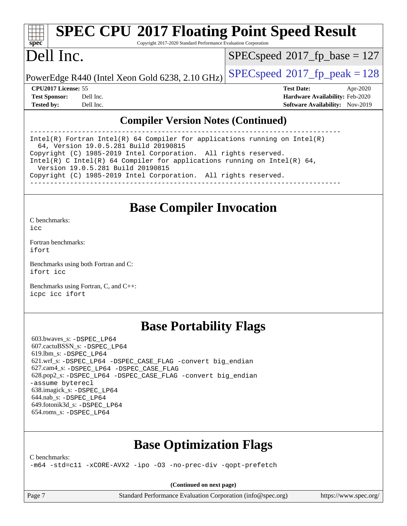# **[SPEC CPU](http://www.spec.org/auto/cpu2017/Docs/result-fields.html#SPECCPU2017FloatingPointSpeedResult)[2017 Floating Point Speed Result](http://www.spec.org/auto/cpu2017/Docs/result-fields.html#SPECCPU2017FloatingPointSpeedResult)**

Copyright 2017-2020 Standard Performance Evaluation Corporation

# Dell Inc.

**[spec](http://www.spec.org/)**

 $SPEC speed$ <sup>®</sup> $2017$ \_fp\_base = 127

PowerEdge R440 (Intel Xeon Gold 6238, 2.10 GHz)  $\left|$  [SPECspeed](http://www.spec.org/auto/cpu2017/Docs/result-fields.html#SPECspeed2017fppeak)®[2017\\_fp\\_peak = 1](http://www.spec.org/auto/cpu2017/Docs/result-fields.html#SPECspeed2017fppeak)28

**[CPU2017 License:](http://www.spec.org/auto/cpu2017/Docs/result-fields.html#CPU2017License)** 55 **[Test Date:](http://www.spec.org/auto/cpu2017/Docs/result-fields.html#TestDate)** Apr-2020 **[Test Sponsor:](http://www.spec.org/auto/cpu2017/Docs/result-fields.html#TestSponsor)** Dell Inc. **[Hardware Availability:](http://www.spec.org/auto/cpu2017/Docs/result-fields.html#HardwareAvailability)** Feb-2020 **[Tested by:](http://www.spec.org/auto/cpu2017/Docs/result-fields.html#Testedby)** Dell Inc. **[Software Availability:](http://www.spec.org/auto/cpu2017/Docs/result-fields.html#SoftwareAvailability)** Nov-2019

### **[Compiler Version Notes \(Continued\)](http://www.spec.org/auto/cpu2017/Docs/result-fields.html#CompilerVersionNotes)**

------------------------------------------------------------------------------ Intel(R) Fortran Intel(R) 64 Compiler for applications running on Intel(R) 64, Version 19.0.5.281 Build 20190815 Copyright (C) 1985-2019 Intel Corporation. All rights reserved. Intel(R) C Intel(R) 64 Compiler for applications running on Intel(R) 64, Version 19.0.5.281 Build 20190815 Copyright (C) 1985-2019 Intel Corporation. All rights reserved. ------------------------------------------------------------------------------

# **[Base Compiler Invocation](http://www.spec.org/auto/cpu2017/Docs/result-fields.html#BaseCompilerInvocation)**

[C benchmarks](http://www.spec.org/auto/cpu2017/Docs/result-fields.html#Cbenchmarks):  $i$ cc

[Fortran benchmarks](http://www.spec.org/auto/cpu2017/Docs/result-fields.html#Fortranbenchmarks): [ifort](http://www.spec.org/cpu2017/results/res2020q2/cpu2017-20200427-22208.flags.html#user_FCbase_intel_ifort_8111460550e3ca792625aed983ce982f94888b8b503583aa7ba2b8303487b4d8a21a13e7191a45c5fd58ff318f48f9492884d4413fa793fd88dd292cad7027ca)

[Benchmarks using both Fortran and C](http://www.spec.org/auto/cpu2017/Docs/result-fields.html#BenchmarksusingbothFortranandC): [ifort](http://www.spec.org/cpu2017/results/res2020q2/cpu2017-20200427-22208.flags.html#user_CC_FCbase_intel_ifort_8111460550e3ca792625aed983ce982f94888b8b503583aa7ba2b8303487b4d8a21a13e7191a45c5fd58ff318f48f9492884d4413fa793fd88dd292cad7027ca) [icc](http://www.spec.org/cpu2017/results/res2020q2/cpu2017-20200427-22208.flags.html#user_CC_FCbase_intel_icc_66fc1ee009f7361af1fbd72ca7dcefbb700085f36577c54f309893dd4ec40d12360134090235512931783d35fd58c0460139e722d5067c5574d8eaf2b3e37e92)

[Benchmarks using Fortran, C, and C++:](http://www.spec.org/auto/cpu2017/Docs/result-fields.html#BenchmarksusingFortranCandCXX) [icpc](http://www.spec.org/cpu2017/results/res2020q2/cpu2017-20200427-22208.flags.html#user_CC_CXX_FCbase_intel_icpc_c510b6838c7f56d33e37e94d029a35b4a7bccf4766a728ee175e80a419847e808290a9b78be685c44ab727ea267ec2f070ec5dc83b407c0218cded6866a35d07) [icc](http://www.spec.org/cpu2017/results/res2020q2/cpu2017-20200427-22208.flags.html#user_CC_CXX_FCbase_intel_icc_66fc1ee009f7361af1fbd72ca7dcefbb700085f36577c54f309893dd4ec40d12360134090235512931783d35fd58c0460139e722d5067c5574d8eaf2b3e37e92) [ifort](http://www.spec.org/cpu2017/results/res2020q2/cpu2017-20200427-22208.flags.html#user_CC_CXX_FCbase_intel_ifort_8111460550e3ca792625aed983ce982f94888b8b503583aa7ba2b8303487b4d8a21a13e7191a45c5fd58ff318f48f9492884d4413fa793fd88dd292cad7027ca)

# **[Base Portability Flags](http://www.spec.org/auto/cpu2017/Docs/result-fields.html#BasePortabilityFlags)**

 603.bwaves\_s: [-DSPEC\\_LP64](http://www.spec.org/cpu2017/results/res2020q2/cpu2017-20200427-22208.flags.html#suite_basePORTABILITY603_bwaves_s_DSPEC_LP64) 607.cactuBSSN\_s: [-DSPEC\\_LP64](http://www.spec.org/cpu2017/results/res2020q2/cpu2017-20200427-22208.flags.html#suite_basePORTABILITY607_cactuBSSN_s_DSPEC_LP64) 619.lbm\_s: [-DSPEC\\_LP64](http://www.spec.org/cpu2017/results/res2020q2/cpu2017-20200427-22208.flags.html#suite_basePORTABILITY619_lbm_s_DSPEC_LP64) 621.wrf\_s: [-DSPEC\\_LP64](http://www.spec.org/cpu2017/results/res2020q2/cpu2017-20200427-22208.flags.html#suite_basePORTABILITY621_wrf_s_DSPEC_LP64) [-DSPEC\\_CASE\\_FLAG](http://www.spec.org/cpu2017/results/res2020q2/cpu2017-20200427-22208.flags.html#b621.wrf_s_baseCPORTABILITY_DSPEC_CASE_FLAG) [-convert big\\_endian](http://www.spec.org/cpu2017/results/res2020q2/cpu2017-20200427-22208.flags.html#user_baseFPORTABILITY621_wrf_s_convert_big_endian_c3194028bc08c63ac5d04de18c48ce6d347e4e562e8892b8bdbdc0214820426deb8554edfa529a3fb25a586e65a3d812c835984020483e7e73212c4d31a38223) 627.cam4\_s: [-DSPEC\\_LP64](http://www.spec.org/cpu2017/results/res2020q2/cpu2017-20200427-22208.flags.html#suite_basePORTABILITY627_cam4_s_DSPEC_LP64) [-DSPEC\\_CASE\\_FLAG](http://www.spec.org/cpu2017/results/res2020q2/cpu2017-20200427-22208.flags.html#b627.cam4_s_baseCPORTABILITY_DSPEC_CASE_FLAG) 628.pop2\_s: [-DSPEC\\_LP64](http://www.spec.org/cpu2017/results/res2020q2/cpu2017-20200427-22208.flags.html#suite_basePORTABILITY628_pop2_s_DSPEC_LP64) [-DSPEC\\_CASE\\_FLAG](http://www.spec.org/cpu2017/results/res2020q2/cpu2017-20200427-22208.flags.html#b628.pop2_s_baseCPORTABILITY_DSPEC_CASE_FLAG) [-convert big\\_endian](http://www.spec.org/cpu2017/results/res2020q2/cpu2017-20200427-22208.flags.html#user_baseFPORTABILITY628_pop2_s_convert_big_endian_c3194028bc08c63ac5d04de18c48ce6d347e4e562e8892b8bdbdc0214820426deb8554edfa529a3fb25a586e65a3d812c835984020483e7e73212c4d31a38223) [-assume byterecl](http://www.spec.org/cpu2017/results/res2020q2/cpu2017-20200427-22208.flags.html#user_baseFPORTABILITY628_pop2_s_assume_byterecl_7e47d18b9513cf18525430bbf0f2177aa9bf368bc7a059c09b2c06a34b53bd3447c950d3f8d6c70e3faf3a05c8557d66a5798b567902e8849adc142926523472) 638.imagick\_s: [-DSPEC\\_LP64](http://www.spec.org/cpu2017/results/res2020q2/cpu2017-20200427-22208.flags.html#suite_basePORTABILITY638_imagick_s_DSPEC_LP64) 644.nab\_s: [-DSPEC\\_LP64](http://www.spec.org/cpu2017/results/res2020q2/cpu2017-20200427-22208.flags.html#suite_basePORTABILITY644_nab_s_DSPEC_LP64) 649.fotonik3d\_s: [-DSPEC\\_LP64](http://www.spec.org/cpu2017/results/res2020q2/cpu2017-20200427-22208.flags.html#suite_basePORTABILITY649_fotonik3d_s_DSPEC_LP64) 654.roms\_s: [-DSPEC\\_LP64](http://www.spec.org/cpu2017/results/res2020q2/cpu2017-20200427-22208.flags.html#suite_basePORTABILITY654_roms_s_DSPEC_LP64)

# **[Base Optimization Flags](http://www.spec.org/auto/cpu2017/Docs/result-fields.html#BaseOptimizationFlags)**

[C benchmarks](http://www.spec.org/auto/cpu2017/Docs/result-fields.html#Cbenchmarks):

[-m64](http://www.spec.org/cpu2017/results/res2020q2/cpu2017-20200427-22208.flags.html#user_CCbase_m64-icc) [-std=c11](http://www.spec.org/cpu2017/results/res2020q2/cpu2017-20200427-22208.flags.html#user_CCbase_std-icc-std_0e1c27790398a4642dfca32ffe6c27b5796f9c2d2676156f2e42c9c44eaad0c049b1cdb667a270c34d979996257aeb8fc440bfb01818dbc9357bd9d174cb8524) [-xCORE-AVX2](http://www.spec.org/cpu2017/results/res2020q2/cpu2017-20200427-22208.flags.html#user_CCbase_f-xCORE-AVX2) [-ipo](http://www.spec.org/cpu2017/results/res2020q2/cpu2017-20200427-22208.flags.html#user_CCbase_f-ipo) [-O3](http://www.spec.org/cpu2017/results/res2020q2/cpu2017-20200427-22208.flags.html#user_CCbase_f-O3) [-no-prec-div](http://www.spec.org/cpu2017/results/res2020q2/cpu2017-20200427-22208.flags.html#user_CCbase_f-no-prec-div) [-qopt-prefetch](http://www.spec.org/cpu2017/results/res2020q2/cpu2017-20200427-22208.flags.html#user_CCbase_f-qopt-prefetch)

**(Continued on next page)**

Page 7 Standard Performance Evaluation Corporation [\(info@spec.org\)](mailto:info@spec.org) <https://www.spec.org/>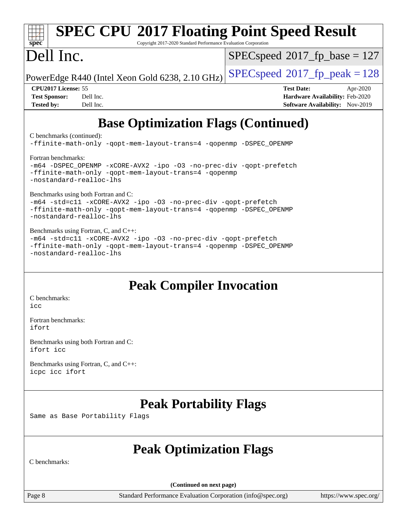## Page 8 Standard Performance Evaluation Corporation [\(info@spec.org\)](mailto:info@spec.org) <https://www.spec.org/> **[spec](http://www.spec.org/) [SPEC CPU](http://www.spec.org/auto/cpu2017/Docs/result-fields.html#SPECCPU2017FloatingPointSpeedResult)[2017 Floating Point Speed Result](http://www.spec.org/auto/cpu2017/Docs/result-fields.html#SPECCPU2017FloatingPointSpeedResult)** Copyright 2017-2020 Standard Performance Evaluation Corporation Dell Inc. PowerEdge R440 (Intel Xeon Gold 6238, 2.10 GHz)  $\left|$  [SPECspeed](http://www.spec.org/auto/cpu2017/Docs/result-fields.html#SPECspeed2017fppeak)®[2017\\_fp\\_peak = 1](http://www.spec.org/auto/cpu2017/Docs/result-fields.html#SPECspeed2017fppeak)28 [SPECspeed](http://www.spec.org/auto/cpu2017/Docs/result-fields.html#SPECspeed2017fpbase)<sup>®</sup>2017 fp base = 127 **[CPU2017 License:](http://www.spec.org/auto/cpu2017/Docs/result-fields.html#CPU2017License)** 55 **[Test Date:](http://www.spec.org/auto/cpu2017/Docs/result-fields.html#TestDate)** Apr-2020 **[Test Sponsor:](http://www.spec.org/auto/cpu2017/Docs/result-fields.html#TestSponsor)** Dell Inc. **[Hardware Availability:](http://www.spec.org/auto/cpu2017/Docs/result-fields.html#HardwareAvailability)** Feb-2020 **[Tested by:](http://www.spec.org/auto/cpu2017/Docs/result-fields.html#Testedby)** Dell Inc. **[Software Availability:](http://www.spec.org/auto/cpu2017/Docs/result-fields.html#SoftwareAvailability)** Nov-2019 **[Base Optimization Flags \(Continued\)](http://www.spec.org/auto/cpu2017/Docs/result-fields.html#BaseOptimizationFlags)** [C benchmarks](http://www.spec.org/auto/cpu2017/Docs/result-fields.html#Cbenchmarks) (continued): [-ffinite-math-only](http://www.spec.org/cpu2017/results/res2020q2/cpu2017-20200427-22208.flags.html#user_CCbase_f_finite_math_only_cb91587bd2077682c4b38af759c288ed7c732db004271a9512da14a4f8007909a5f1427ecbf1a0fb78ff2a814402c6114ac565ca162485bbcae155b5e4258871) [-qopt-mem-layout-trans=4](http://www.spec.org/cpu2017/results/res2020q2/cpu2017-20200427-22208.flags.html#user_CCbase_f-qopt-mem-layout-trans_fa39e755916c150a61361b7846f310bcdf6f04e385ef281cadf3647acec3f0ae266d1a1d22d972a7087a248fd4e6ca390a3634700869573d231a252c784941a8) [-qopenmp](http://www.spec.org/cpu2017/results/res2020q2/cpu2017-20200427-22208.flags.html#user_CCbase_qopenmp_16be0c44f24f464004c6784a7acb94aca937f053568ce72f94b139a11c7c168634a55f6653758ddd83bcf7b8463e8028bb0b48b77bcddc6b78d5d95bb1df2967) [-DSPEC\\_OPENMP](http://www.spec.org/cpu2017/results/res2020q2/cpu2017-20200427-22208.flags.html#suite_CCbase_DSPEC_OPENMP) [Fortran benchmarks](http://www.spec.org/auto/cpu2017/Docs/result-fields.html#Fortranbenchmarks): [-m64](http://www.spec.org/cpu2017/results/res2020q2/cpu2017-20200427-22208.flags.html#user_FCbase_m64-icc) [-DSPEC\\_OPENMP](http://www.spec.org/cpu2017/results/res2020q2/cpu2017-20200427-22208.flags.html#suite_FCbase_DSPEC_OPENMP) [-xCORE-AVX2](http://www.spec.org/cpu2017/results/res2020q2/cpu2017-20200427-22208.flags.html#user_FCbase_f-xCORE-AVX2) [-ipo](http://www.spec.org/cpu2017/results/res2020q2/cpu2017-20200427-22208.flags.html#user_FCbase_f-ipo) [-O3](http://www.spec.org/cpu2017/results/res2020q2/cpu2017-20200427-22208.flags.html#user_FCbase_f-O3) [-no-prec-div](http://www.spec.org/cpu2017/results/res2020q2/cpu2017-20200427-22208.flags.html#user_FCbase_f-no-prec-div) [-qopt-prefetch](http://www.spec.org/cpu2017/results/res2020q2/cpu2017-20200427-22208.flags.html#user_FCbase_f-qopt-prefetch) [-ffinite-math-only](http://www.spec.org/cpu2017/results/res2020q2/cpu2017-20200427-22208.flags.html#user_FCbase_f_finite_math_only_cb91587bd2077682c4b38af759c288ed7c732db004271a9512da14a4f8007909a5f1427ecbf1a0fb78ff2a814402c6114ac565ca162485bbcae155b5e4258871) [-qopt-mem-layout-trans=4](http://www.spec.org/cpu2017/results/res2020q2/cpu2017-20200427-22208.flags.html#user_FCbase_f-qopt-mem-layout-trans_fa39e755916c150a61361b7846f310bcdf6f04e385ef281cadf3647acec3f0ae266d1a1d22d972a7087a248fd4e6ca390a3634700869573d231a252c784941a8) [-qopenmp](http://www.spec.org/cpu2017/results/res2020q2/cpu2017-20200427-22208.flags.html#user_FCbase_qopenmp_16be0c44f24f464004c6784a7acb94aca937f053568ce72f94b139a11c7c168634a55f6653758ddd83bcf7b8463e8028bb0b48b77bcddc6b78d5d95bb1df2967) [-nostandard-realloc-lhs](http://www.spec.org/cpu2017/results/res2020q2/cpu2017-20200427-22208.flags.html#user_FCbase_f_2003_std_realloc_82b4557e90729c0f113870c07e44d33d6f5a304b4f63d4c15d2d0f1fab99f5daaed73bdb9275d9ae411527f28b936061aa8b9c8f2d63842963b95c9dd6426b8a) [Benchmarks using both Fortran and C](http://www.spec.org/auto/cpu2017/Docs/result-fields.html#BenchmarksusingbothFortranandC): [-m64](http://www.spec.org/cpu2017/results/res2020q2/cpu2017-20200427-22208.flags.html#user_CC_FCbase_m64-icc) [-std=c11](http://www.spec.org/cpu2017/results/res2020q2/cpu2017-20200427-22208.flags.html#user_CC_FCbase_std-icc-std_0e1c27790398a4642dfca32ffe6c27b5796f9c2d2676156f2e42c9c44eaad0c049b1cdb667a270c34d979996257aeb8fc440bfb01818dbc9357bd9d174cb8524) [-xCORE-AVX2](http://www.spec.org/cpu2017/results/res2020q2/cpu2017-20200427-22208.flags.html#user_CC_FCbase_f-xCORE-AVX2) [-ipo](http://www.spec.org/cpu2017/results/res2020q2/cpu2017-20200427-22208.flags.html#user_CC_FCbase_f-ipo) [-O3](http://www.spec.org/cpu2017/results/res2020q2/cpu2017-20200427-22208.flags.html#user_CC_FCbase_f-O3) [-no-prec-div](http://www.spec.org/cpu2017/results/res2020q2/cpu2017-20200427-22208.flags.html#user_CC_FCbase_f-no-prec-div) [-qopt-prefetch](http://www.spec.org/cpu2017/results/res2020q2/cpu2017-20200427-22208.flags.html#user_CC_FCbase_f-qopt-prefetch) [-ffinite-math-only](http://www.spec.org/cpu2017/results/res2020q2/cpu2017-20200427-22208.flags.html#user_CC_FCbase_f_finite_math_only_cb91587bd2077682c4b38af759c288ed7c732db004271a9512da14a4f8007909a5f1427ecbf1a0fb78ff2a814402c6114ac565ca162485bbcae155b5e4258871) [-qopt-mem-layout-trans=4](http://www.spec.org/cpu2017/results/res2020q2/cpu2017-20200427-22208.flags.html#user_CC_FCbase_f-qopt-mem-layout-trans_fa39e755916c150a61361b7846f310bcdf6f04e385ef281cadf3647acec3f0ae266d1a1d22d972a7087a248fd4e6ca390a3634700869573d231a252c784941a8) [-qopenmp](http://www.spec.org/cpu2017/results/res2020q2/cpu2017-20200427-22208.flags.html#user_CC_FCbase_qopenmp_16be0c44f24f464004c6784a7acb94aca937f053568ce72f94b139a11c7c168634a55f6653758ddd83bcf7b8463e8028bb0b48b77bcddc6b78d5d95bb1df2967) [-DSPEC\\_OPENMP](http://www.spec.org/cpu2017/results/res2020q2/cpu2017-20200427-22208.flags.html#suite_CC_FCbase_DSPEC_OPENMP) [-nostandard-realloc-lhs](http://www.spec.org/cpu2017/results/res2020q2/cpu2017-20200427-22208.flags.html#user_CC_FCbase_f_2003_std_realloc_82b4557e90729c0f113870c07e44d33d6f5a304b4f63d4c15d2d0f1fab99f5daaed73bdb9275d9ae411527f28b936061aa8b9c8f2d63842963b95c9dd6426b8a) [Benchmarks using Fortran, C, and C++:](http://www.spec.org/auto/cpu2017/Docs/result-fields.html#BenchmarksusingFortranCandCXX) [-m64](http://www.spec.org/cpu2017/results/res2020q2/cpu2017-20200427-22208.flags.html#user_CC_CXX_FCbase_m64-icc) [-std=c11](http://www.spec.org/cpu2017/results/res2020q2/cpu2017-20200427-22208.flags.html#user_CC_CXX_FCbase_std-icc-std_0e1c27790398a4642dfca32ffe6c27b5796f9c2d2676156f2e42c9c44eaad0c049b1cdb667a270c34d979996257aeb8fc440bfb01818dbc9357bd9d174cb8524) [-xCORE-AVX2](http://www.spec.org/cpu2017/results/res2020q2/cpu2017-20200427-22208.flags.html#user_CC_CXX_FCbase_f-xCORE-AVX2) [-ipo](http://www.spec.org/cpu2017/results/res2020q2/cpu2017-20200427-22208.flags.html#user_CC_CXX_FCbase_f-ipo) [-O3](http://www.spec.org/cpu2017/results/res2020q2/cpu2017-20200427-22208.flags.html#user_CC_CXX_FCbase_f-O3) [-no-prec-div](http://www.spec.org/cpu2017/results/res2020q2/cpu2017-20200427-22208.flags.html#user_CC_CXX_FCbase_f-no-prec-div) [-qopt-prefetch](http://www.spec.org/cpu2017/results/res2020q2/cpu2017-20200427-22208.flags.html#user_CC_CXX_FCbase_f-qopt-prefetch) [-ffinite-math-only](http://www.spec.org/cpu2017/results/res2020q2/cpu2017-20200427-22208.flags.html#user_CC_CXX_FCbase_f_finite_math_only_cb91587bd2077682c4b38af759c288ed7c732db004271a9512da14a4f8007909a5f1427ecbf1a0fb78ff2a814402c6114ac565ca162485bbcae155b5e4258871) [-qopt-mem-layout-trans=4](http://www.spec.org/cpu2017/results/res2020q2/cpu2017-20200427-22208.flags.html#user_CC_CXX_FCbase_f-qopt-mem-layout-trans_fa39e755916c150a61361b7846f310bcdf6f04e385ef281cadf3647acec3f0ae266d1a1d22d972a7087a248fd4e6ca390a3634700869573d231a252c784941a8) [-qopenmp](http://www.spec.org/cpu2017/results/res2020q2/cpu2017-20200427-22208.flags.html#user_CC_CXX_FCbase_qopenmp_16be0c44f24f464004c6784a7acb94aca937f053568ce72f94b139a11c7c168634a55f6653758ddd83bcf7b8463e8028bb0b48b77bcddc6b78d5d95bb1df2967) [-DSPEC\\_OPENMP](http://www.spec.org/cpu2017/results/res2020q2/cpu2017-20200427-22208.flags.html#suite_CC_CXX_FCbase_DSPEC_OPENMP) [-nostandard-realloc-lhs](http://www.spec.org/cpu2017/results/res2020q2/cpu2017-20200427-22208.flags.html#user_CC_CXX_FCbase_f_2003_std_realloc_82b4557e90729c0f113870c07e44d33d6f5a304b4f63d4c15d2d0f1fab99f5daaed73bdb9275d9ae411527f28b936061aa8b9c8f2d63842963b95c9dd6426b8a) **[Peak Compiler Invocation](http://www.spec.org/auto/cpu2017/Docs/result-fields.html#PeakCompilerInvocation)** [C benchmarks](http://www.spec.org/auto/cpu2017/Docs/result-fields.html#Cbenchmarks):  $inc$ [Fortran benchmarks](http://www.spec.org/auto/cpu2017/Docs/result-fields.html#Fortranbenchmarks): [ifort](http://www.spec.org/cpu2017/results/res2020q2/cpu2017-20200427-22208.flags.html#user_FCpeak_intel_ifort_8111460550e3ca792625aed983ce982f94888b8b503583aa7ba2b8303487b4d8a21a13e7191a45c5fd58ff318f48f9492884d4413fa793fd88dd292cad7027ca) [Benchmarks using both Fortran and C](http://www.spec.org/auto/cpu2017/Docs/result-fields.html#BenchmarksusingbothFortranandC): [ifort](http://www.spec.org/cpu2017/results/res2020q2/cpu2017-20200427-22208.flags.html#user_CC_FCpeak_intel_ifort_8111460550e3ca792625aed983ce982f94888b8b503583aa7ba2b8303487b4d8a21a13e7191a45c5fd58ff318f48f9492884d4413fa793fd88dd292cad7027ca) [icc](http://www.spec.org/cpu2017/results/res2020q2/cpu2017-20200427-22208.flags.html#user_CC_FCpeak_intel_icc_66fc1ee009f7361af1fbd72ca7dcefbb700085f36577c54f309893dd4ec40d12360134090235512931783d35fd58c0460139e722d5067c5574d8eaf2b3e37e92) [Benchmarks using Fortran, C, and C++:](http://www.spec.org/auto/cpu2017/Docs/result-fields.html#BenchmarksusingFortranCandCXX) [icpc](http://www.spec.org/cpu2017/results/res2020q2/cpu2017-20200427-22208.flags.html#user_CC_CXX_FCpeak_intel_icpc_c510b6838c7f56d33e37e94d029a35b4a7bccf4766a728ee175e80a419847e808290a9b78be685c44ab727ea267ec2f070ec5dc83b407c0218cded6866a35d07) [icc](http://www.spec.org/cpu2017/results/res2020q2/cpu2017-20200427-22208.flags.html#user_CC_CXX_FCpeak_intel_icc_66fc1ee009f7361af1fbd72ca7dcefbb700085f36577c54f309893dd4ec40d12360134090235512931783d35fd58c0460139e722d5067c5574d8eaf2b3e37e92) [ifort](http://www.spec.org/cpu2017/results/res2020q2/cpu2017-20200427-22208.flags.html#user_CC_CXX_FCpeak_intel_ifort_8111460550e3ca792625aed983ce982f94888b8b503583aa7ba2b8303487b4d8a21a13e7191a45c5fd58ff318f48f9492884d4413fa793fd88dd292cad7027ca) **[Peak Portability Flags](http://www.spec.org/auto/cpu2017/Docs/result-fields.html#PeakPortabilityFlags)** Same as Base Portability Flags **[Peak Optimization Flags](http://www.spec.org/auto/cpu2017/Docs/result-fields.html#PeakOptimizationFlags)** [C benchmarks:](http://www.spec.org/auto/cpu2017/Docs/result-fields.html#Cbenchmarks) **(Continued on next page)**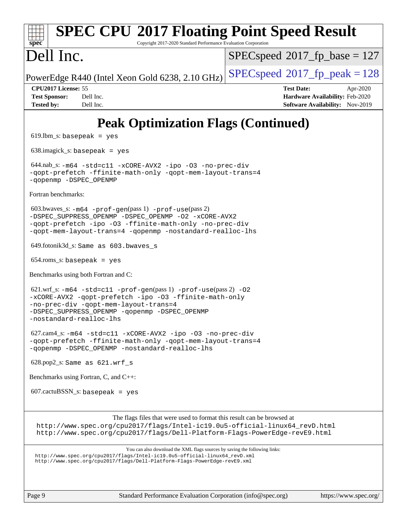### **[spec](http://www.spec.org/) [SPEC CPU](http://www.spec.org/auto/cpu2017/Docs/result-fields.html#SPECCPU2017FloatingPointSpeedResult)[2017 Floating Point Speed Result](http://www.spec.org/auto/cpu2017/Docs/result-fields.html#SPECCPU2017FloatingPointSpeedResult)** Copyright 2017-2020 Standard Performance Evaluation Corporation Dell Inc. PowerEdge R440 (Intel Xeon Gold 6238, 2.10 GHz)  $\left|$  [SPECspeed](http://www.spec.org/auto/cpu2017/Docs/result-fields.html#SPECspeed2017fppeak)<sup>®</sup>[2017\\_fp\\_peak = 1](http://www.spec.org/auto/cpu2017/Docs/result-fields.html#SPECspeed2017fppeak)28  $SPEC speed$ <sup>®</sup> $2017$ \_fp\_base = 127 **[CPU2017 License:](http://www.spec.org/auto/cpu2017/Docs/result-fields.html#CPU2017License)** 55 **[Test Date:](http://www.spec.org/auto/cpu2017/Docs/result-fields.html#TestDate)** Apr-2020 **[Test Sponsor:](http://www.spec.org/auto/cpu2017/Docs/result-fields.html#TestSponsor)** Dell Inc. **[Hardware Availability:](http://www.spec.org/auto/cpu2017/Docs/result-fields.html#HardwareAvailability)** Feb-2020 **[Tested by:](http://www.spec.org/auto/cpu2017/Docs/result-fields.html#Testedby)** Dell Inc. **[Software Availability:](http://www.spec.org/auto/cpu2017/Docs/result-fields.html#SoftwareAvailability)** Nov-2019 **[Peak Optimization Flags \(Continued\)](http://www.spec.org/auto/cpu2017/Docs/result-fields.html#PeakOptimizationFlags)**  $619.$ lbm\_s: basepeak = yes 638.imagick\_s: basepeak = yes 644.nab\_s: [-m64](http://www.spec.org/cpu2017/results/res2020q2/cpu2017-20200427-22208.flags.html#user_peakCCLD644_nab_s_m64-icc) [-std=c11](http://www.spec.org/cpu2017/results/res2020q2/cpu2017-20200427-22208.flags.html#user_peakCCLD644_nab_s_std-icc-std_0e1c27790398a4642dfca32ffe6c27b5796f9c2d2676156f2e42c9c44eaad0c049b1cdb667a270c34d979996257aeb8fc440bfb01818dbc9357bd9d174cb8524) [-xCORE-AVX2](http://www.spec.org/cpu2017/results/res2020q2/cpu2017-20200427-22208.flags.html#user_peakCOPTIMIZE644_nab_s_f-xCORE-AVX2) [-ipo](http://www.spec.org/cpu2017/results/res2020q2/cpu2017-20200427-22208.flags.html#user_peakCOPTIMIZE644_nab_s_f-ipo) [-O3](http://www.spec.org/cpu2017/results/res2020q2/cpu2017-20200427-22208.flags.html#user_peakCOPTIMIZE644_nab_s_f-O3) [-no-prec-div](http://www.spec.org/cpu2017/results/res2020q2/cpu2017-20200427-22208.flags.html#user_peakCOPTIMIZE644_nab_s_f-no-prec-div) [-qopt-prefetch](http://www.spec.org/cpu2017/results/res2020q2/cpu2017-20200427-22208.flags.html#user_peakCOPTIMIZE644_nab_s_f-qopt-prefetch) [-ffinite-math-only](http://www.spec.org/cpu2017/results/res2020q2/cpu2017-20200427-22208.flags.html#user_peakCOPTIMIZE644_nab_s_f_finite_math_only_cb91587bd2077682c4b38af759c288ed7c732db004271a9512da14a4f8007909a5f1427ecbf1a0fb78ff2a814402c6114ac565ca162485bbcae155b5e4258871) [-qopt-mem-layout-trans=4](http://www.spec.org/cpu2017/results/res2020q2/cpu2017-20200427-22208.flags.html#user_peakCOPTIMIZE644_nab_s_f-qopt-mem-layout-trans_fa39e755916c150a61361b7846f310bcdf6f04e385ef281cadf3647acec3f0ae266d1a1d22d972a7087a248fd4e6ca390a3634700869573d231a252c784941a8) [-qopenmp](http://www.spec.org/cpu2017/results/res2020q2/cpu2017-20200427-22208.flags.html#user_peakCOPTIMIZE644_nab_s_qopenmp_16be0c44f24f464004c6784a7acb94aca937f053568ce72f94b139a11c7c168634a55f6653758ddd83bcf7b8463e8028bb0b48b77bcddc6b78d5d95bb1df2967) [-DSPEC\\_OPENMP](http://www.spec.org/cpu2017/results/res2020q2/cpu2017-20200427-22208.flags.html#suite_peakCOPTIMIZE644_nab_s_DSPEC_OPENMP) [Fortran benchmarks](http://www.spec.org/auto/cpu2017/Docs/result-fields.html#Fortranbenchmarks): 603.bwaves\_s: [-m64](http://www.spec.org/cpu2017/results/res2020q2/cpu2017-20200427-22208.flags.html#user_peakFCLD603_bwaves_s_m64-icc) [-prof-gen](http://www.spec.org/cpu2017/results/res2020q2/cpu2017-20200427-22208.flags.html#user_peakPASS1_FFLAGSPASS1_LDFLAGS603_bwaves_s_prof_gen_5aa4926d6013ddb2a31985c654b3eb18169fc0c6952a63635c234f711e6e63dd76e94ad52365559451ec499a2cdb89e4dc58ba4c67ef54ca681ffbe1461d6b36)(pass 1) [-prof-use](http://www.spec.org/cpu2017/results/res2020q2/cpu2017-20200427-22208.flags.html#user_peakPASS2_FFLAGSPASS2_LDFLAGS603_bwaves_s_prof_use_1a21ceae95f36a2b53c25747139a6c16ca95bd9def2a207b4f0849963b97e94f5260e30a0c64f4bb623698870e679ca08317ef8150905d41bd88c6f78df73f19)(pass 2) [-DSPEC\\_SUPPRESS\\_OPENMP](http://www.spec.org/cpu2017/results/res2020q2/cpu2017-20200427-22208.flags.html#suite_peakPASS1_FOPTIMIZE603_bwaves_s_DSPEC_SUPPRESS_OPENMP) [-DSPEC\\_OPENMP](http://www.spec.org/cpu2017/results/res2020q2/cpu2017-20200427-22208.flags.html#suite_peakPASS2_FOPTIMIZE603_bwaves_s_DSPEC_OPENMP) [-O2](http://www.spec.org/cpu2017/results/res2020q2/cpu2017-20200427-22208.flags.html#user_peakPASS1_FOPTIMIZE603_bwaves_s_f-O2) [-xCORE-AVX2](http://www.spec.org/cpu2017/results/res2020q2/cpu2017-20200427-22208.flags.html#user_peakPASS2_FOPTIMIZE603_bwaves_s_f-xCORE-AVX2) [-qopt-prefetch](http://www.spec.org/cpu2017/results/res2020q2/cpu2017-20200427-22208.flags.html#user_peakPASS1_FOPTIMIZEPASS2_FOPTIMIZE603_bwaves_s_f-qopt-prefetch) [-ipo](http://www.spec.org/cpu2017/results/res2020q2/cpu2017-20200427-22208.flags.html#user_peakPASS2_FOPTIMIZE603_bwaves_s_f-ipo) [-O3](http://www.spec.org/cpu2017/results/res2020q2/cpu2017-20200427-22208.flags.html#user_peakPASS2_FOPTIMIZE603_bwaves_s_f-O3) [-ffinite-math-only](http://www.spec.org/cpu2017/results/res2020q2/cpu2017-20200427-22208.flags.html#user_peakPASS1_FOPTIMIZEPASS2_FOPTIMIZE603_bwaves_s_f_finite_math_only_cb91587bd2077682c4b38af759c288ed7c732db004271a9512da14a4f8007909a5f1427ecbf1a0fb78ff2a814402c6114ac565ca162485bbcae155b5e4258871) [-no-prec-div](http://www.spec.org/cpu2017/results/res2020q2/cpu2017-20200427-22208.flags.html#user_peakPASS2_FOPTIMIZE603_bwaves_s_f-no-prec-div) [-qopt-mem-layout-trans=4](http://www.spec.org/cpu2017/results/res2020q2/cpu2017-20200427-22208.flags.html#user_peakPASS1_FOPTIMIZEPASS2_FOPTIMIZE603_bwaves_s_f-qopt-mem-layout-trans_fa39e755916c150a61361b7846f310bcdf6f04e385ef281cadf3647acec3f0ae266d1a1d22d972a7087a248fd4e6ca390a3634700869573d231a252c784941a8) [-qopenmp](http://www.spec.org/cpu2017/results/res2020q2/cpu2017-20200427-22208.flags.html#user_peakPASS2_FOPTIMIZE603_bwaves_s_qopenmp_16be0c44f24f464004c6784a7acb94aca937f053568ce72f94b139a11c7c168634a55f6653758ddd83bcf7b8463e8028bb0b48b77bcddc6b78d5d95bb1df2967) [-nostandard-realloc-lhs](http://www.spec.org/cpu2017/results/res2020q2/cpu2017-20200427-22208.flags.html#user_peakEXTRA_FOPTIMIZE603_bwaves_s_f_2003_std_realloc_82b4557e90729c0f113870c07e44d33d6f5a304b4f63d4c15d2d0f1fab99f5daaed73bdb9275d9ae411527f28b936061aa8b9c8f2d63842963b95c9dd6426b8a) 649.fotonik3d\_s: Same as 603.bwaves\_s  $654$ .roms\_s: basepeak = yes [Benchmarks using both Fortran and C:](http://www.spec.org/auto/cpu2017/Docs/result-fields.html#BenchmarksusingbothFortranandC) 621.wrf\_s: [-m64](http://www.spec.org/cpu2017/results/res2020q2/cpu2017-20200427-22208.flags.html#user_peakCCFCLD621_wrf_s_m64-icc) [-std=c11](http://www.spec.org/cpu2017/results/res2020q2/cpu2017-20200427-22208.flags.html#user_peakCC621_wrf_s_std-icc-std_0e1c27790398a4642dfca32ffe6c27b5796f9c2d2676156f2e42c9c44eaad0c049b1cdb667a270c34d979996257aeb8fc440bfb01818dbc9357bd9d174cb8524) [-prof-gen](http://www.spec.org/cpu2017/results/res2020q2/cpu2017-20200427-22208.flags.html#user_peakPASS1_CFLAGSPASS1_FFLAGSPASS1_LDFLAGS621_wrf_s_prof_gen_5aa4926d6013ddb2a31985c654b3eb18169fc0c6952a63635c234f711e6e63dd76e94ad52365559451ec499a2cdb89e4dc58ba4c67ef54ca681ffbe1461d6b36)(pass 1) [-prof-use](http://www.spec.org/cpu2017/results/res2020q2/cpu2017-20200427-22208.flags.html#user_peakPASS2_CFLAGSPASS2_FFLAGSPASS2_LDFLAGS621_wrf_s_prof_use_1a21ceae95f36a2b53c25747139a6c16ca95bd9def2a207b4f0849963b97e94f5260e30a0c64f4bb623698870e679ca08317ef8150905d41bd88c6f78df73f19)(pass 2) [-O2](http://www.spec.org/cpu2017/results/res2020q2/cpu2017-20200427-22208.flags.html#user_peakPASS1_COPTIMIZEPASS1_FOPTIMIZE621_wrf_s_f-O2) [-xCORE-AVX2](http://www.spec.org/cpu2017/results/res2020q2/cpu2017-20200427-22208.flags.html#user_peakPASS2_COPTIMIZEPASS2_FOPTIMIZE621_wrf_s_f-xCORE-AVX2) [-qopt-prefetch](http://www.spec.org/cpu2017/results/res2020q2/cpu2017-20200427-22208.flags.html#user_peakPASS1_COPTIMIZEPASS1_FOPTIMIZEPASS2_COPTIMIZEPASS2_FOPTIMIZE621_wrf_s_f-qopt-prefetch) [-ipo](http://www.spec.org/cpu2017/results/res2020q2/cpu2017-20200427-22208.flags.html#user_peakPASS2_COPTIMIZEPASS2_FOPTIMIZE621_wrf_s_f-ipo) [-O3](http://www.spec.org/cpu2017/results/res2020q2/cpu2017-20200427-22208.flags.html#user_peakPASS2_COPTIMIZEPASS2_FOPTIMIZE621_wrf_s_f-O3) [-ffinite-math-only](http://www.spec.org/cpu2017/results/res2020q2/cpu2017-20200427-22208.flags.html#user_peakPASS1_COPTIMIZEPASS1_FOPTIMIZEPASS2_COPTIMIZEPASS2_FOPTIMIZE621_wrf_s_f_finite_math_only_cb91587bd2077682c4b38af759c288ed7c732db004271a9512da14a4f8007909a5f1427ecbf1a0fb78ff2a814402c6114ac565ca162485bbcae155b5e4258871) [-no-prec-div](http://www.spec.org/cpu2017/results/res2020q2/cpu2017-20200427-22208.flags.html#user_peakPASS2_COPTIMIZEPASS2_FOPTIMIZE621_wrf_s_f-no-prec-div) [-qopt-mem-layout-trans=4](http://www.spec.org/cpu2017/results/res2020q2/cpu2017-20200427-22208.flags.html#user_peakPASS1_COPTIMIZEPASS1_FOPTIMIZEPASS2_COPTIMIZEPASS2_FOPTIMIZE621_wrf_s_f-qopt-mem-layout-trans_fa39e755916c150a61361b7846f310bcdf6f04e385ef281cadf3647acec3f0ae266d1a1d22d972a7087a248fd4e6ca390a3634700869573d231a252c784941a8) [-DSPEC\\_SUPPRESS\\_OPENMP](http://www.spec.org/cpu2017/results/res2020q2/cpu2017-20200427-22208.flags.html#suite_peakPASS1_COPTIMIZEPASS1_FOPTIMIZE621_wrf_s_DSPEC_SUPPRESS_OPENMP) [-qopenmp](http://www.spec.org/cpu2017/results/res2020q2/cpu2017-20200427-22208.flags.html#user_peakPASS2_COPTIMIZEPASS2_FOPTIMIZE621_wrf_s_qopenmp_16be0c44f24f464004c6784a7acb94aca937f053568ce72f94b139a11c7c168634a55f6653758ddd83bcf7b8463e8028bb0b48b77bcddc6b78d5d95bb1df2967) [-DSPEC\\_OPENMP](http://www.spec.org/cpu2017/results/res2020q2/cpu2017-20200427-22208.flags.html#suite_peakPASS2_COPTIMIZEPASS2_FOPTIMIZE621_wrf_s_DSPEC_OPENMP) [-nostandard-realloc-lhs](http://www.spec.org/cpu2017/results/res2020q2/cpu2017-20200427-22208.flags.html#user_peakEXTRA_FOPTIMIZE621_wrf_s_f_2003_std_realloc_82b4557e90729c0f113870c07e44d33d6f5a304b4f63d4c15d2d0f1fab99f5daaed73bdb9275d9ae411527f28b936061aa8b9c8f2d63842963b95c9dd6426b8a) 627.cam4\_s: [-m64](http://www.spec.org/cpu2017/results/res2020q2/cpu2017-20200427-22208.flags.html#user_peakCCFCLD627_cam4_s_m64-icc) [-std=c11](http://www.spec.org/cpu2017/results/res2020q2/cpu2017-20200427-22208.flags.html#user_peakCC627_cam4_s_std-icc-std_0e1c27790398a4642dfca32ffe6c27b5796f9c2d2676156f2e42c9c44eaad0c049b1cdb667a270c34d979996257aeb8fc440bfb01818dbc9357bd9d174cb8524) [-xCORE-AVX2](http://www.spec.org/cpu2017/results/res2020q2/cpu2017-20200427-22208.flags.html#user_peakCOPTIMIZEFOPTIMIZE627_cam4_s_f-xCORE-AVX2) [-ipo](http://www.spec.org/cpu2017/results/res2020q2/cpu2017-20200427-22208.flags.html#user_peakCOPTIMIZEFOPTIMIZE627_cam4_s_f-ipo) [-O3](http://www.spec.org/cpu2017/results/res2020q2/cpu2017-20200427-22208.flags.html#user_peakCOPTIMIZEFOPTIMIZE627_cam4_s_f-O3) [-no-prec-div](http://www.spec.org/cpu2017/results/res2020q2/cpu2017-20200427-22208.flags.html#user_peakCOPTIMIZEFOPTIMIZE627_cam4_s_f-no-prec-div) [-qopt-prefetch](http://www.spec.org/cpu2017/results/res2020q2/cpu2017-20200427-22208.flags.html#user_peakCOPTIMIZEFOPTIMIZE627_cam4_s_f-qopt-prefetch) [-ffinite-math-only](http://www.spec.org/cpu2017/results/res2020q2/cpu2017-20200427-22208.flags.html#user_peakCOPTIMIZEFOPTIMIZE627_cam4_s_f_finite_math_only_cb91587bd2077682c4b38af759c288ed7c732db004271a9512da14a4f8007909a5f1427ecbf1a0fb78ff2a814402c6114ac565ca162485bbcae155b5e4258871) [-qopt-mem-layout-trans=4](http://www.spec.org/cpu2017/results/res2020q2/cpu2017-20200427-22208.flags.html#user_peakCOPTIMIZEFOPTIMIZE627_cam4_s_f-qopt-mem-layout-trans_fa39e755916c150a61361b7846f310bcdf6f04e385ef281cadf3647acec3f0ae266d1a1d22d972a7087a248fd4e6ca390a3634700869573d231a252c784941a8) [-qopenmp](http://www.spec.org/cpu2017/results/res2020q2/cpu2017-20200427-22208.flags.html#user_peakCOPTIMIZEFOPTIMIZE627_cam4_s_qopenmp_16be0c44f24f464004c6784a7acb94aca937f053568ce72f94b139a11c7c168634a55f6653758ddd83bcf7b8463e8028bb0b48b77bcddc6b78d5d95bb1df2967) [-DSPEC\\_OPENMP](http://www.spec.org/cpu2017/results/res2020q2/cpu2017-20200427-22208.flags.html#suite_peakCOPTIMIZEFOPTIMIZE627_cam4_s_DSPEC_OPENMP) [-nostandard-realloc-lhs](http://www.spec.org/cpu2017/results/res2020q2/cpu2017-20200427-22208.flags.html#user_peakEXTRA_FOPTIMIZE627_cam4_s_f_2003_std_realloc_82b4557e90729c0f113870c07e44d33d6f5a304b4f63d4c15d2d0f1fab99f5daaed73bdb9275d9ae411527f28b936061aa8b9c8f2d63842963b95c9dd6426b8a) 628.pop2\_s: Same as 621.wrf\_s [Benchmarks using Fortran, C, and C++:](http://www.spec.org/auto/cpu2017/Docs/result-fields.html#BenchmarksusingFortranCandCXX)  $607.cactuBSSN_s$ : basepeak = yes [The flags files that were used to format this result can be browsed at](tmsearch) [http://www.spec.org/cpu2017/flags/Intel-ic19.0u5-official-linux64\\_revD.html](http://www.spec.org/cpu2017/flags/Intel-ic19.0u5-official-linux64_revD.html) <http://www.spec.org/cpu2017/flags/Dell-Platform-Flags-PowerEdge-revE9.html> [You can also download the XML flags sources by saving the following links:](tmsearch) [http://www.spec.org/cpu2017/flags/Intel-ic19.0u5-official-linux64\\_revD.xml](http://www.spec.org/cpu2017/flags/Intel-ic19.0u5-official-linux64_revD.xml) <http://www.spec.org/cpu2017/flags/Dell-Platform-Flags-PowerEdge-revE9.xml>